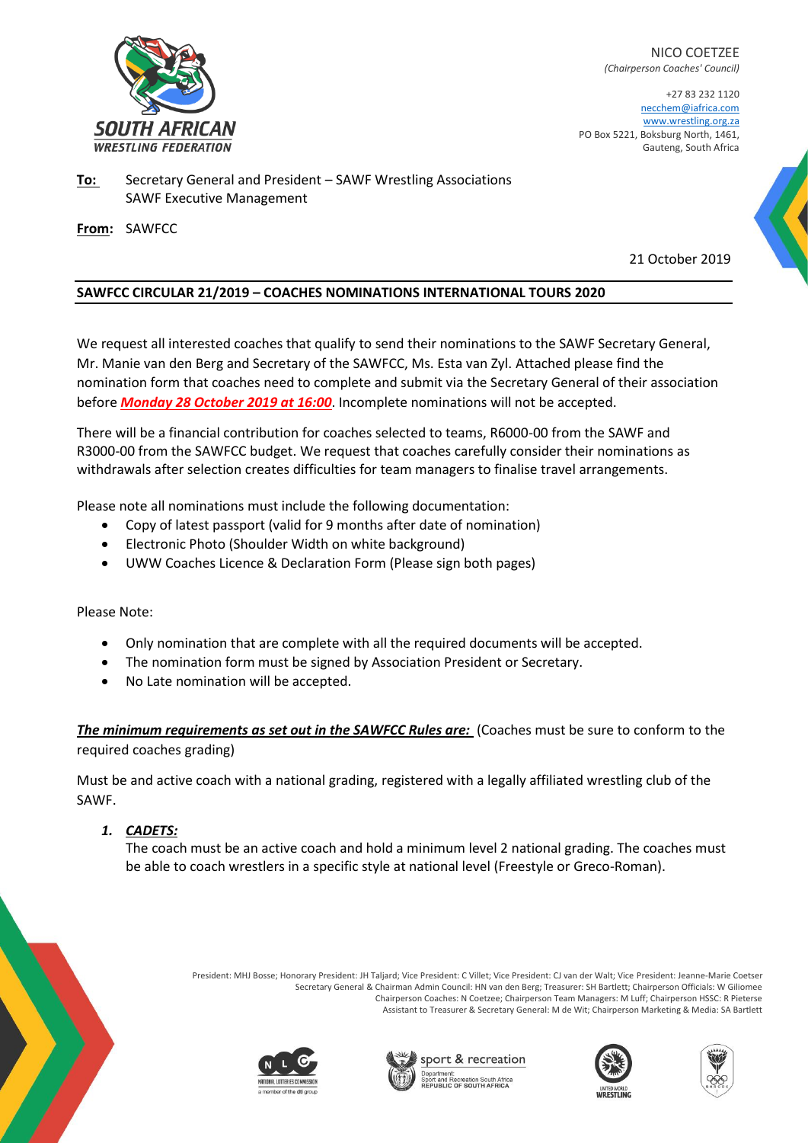

NICO COETZEE *(Chairperson Coaches' Council)*

+27 83 232 1120 necchem@iafrica.com [www.wrestling.org.za](http://www.wrestling.org.za/) PO Box 5221, Boksburg North, 1461, Gauteng, South Africa

**To:** Secretary General and President – SAWF Wrestling Associations SAWF Executive Management

**From:** SAWFCC

21 October 2019

## **SAWFCC CIRCULAR 21/2019 – COACHES NOMINATIONS INTERNATIONAL TOURS 2020**

We request all interested coaches that qualify to send their nominations to the SAWF Secretary General, Mr. Manie van den Berg and Secretary of the SAWFCC, Ms. Esta van Zyl. Attached please find the nomination form that coaches need to complete and submit via the Secretary General of their association before *Monday 28 October 2019 at 16:00*. Incomplete nominations will not be accepted.

There will be a financial contribution for coaches selected to teams, R6000-00 from the SAWF and R3000-00 from the SAWFCC budget. We request that coaches carefully consider their nominations as withdrawals after selection creates difficulties for team managers to finalise travel arrangements.

Please note all nominations must include the following documentation:

- Copy of latest passport (valid for 9 months after date of nomination)
- Electronic Photo (Shoulder Width on white background)
- UWW Coaches Licence & Declaration Form (Please sign both pages)

## Please Note:

- Only nomination that are complete with all the required documents will be accepted.
- The nomination form must be signed by Association President or Secretary.
- No Late nomination will be accepted.

*The minimum requirements as set out in the SAWFCC Rules are:* (Coaches must be sure to conform to the required coaches grading)

Must be and active coach with a national grading, registered with a legally affiliated wrestling club of the SAWF.

## *1. CADETS:*

The coach must be an active coach and hold a minimum level 2 national grading. The coaches must be able to coach wrestlers in a specific style at national level (Freestyle or Greco-Roman).

> President: MHJ Bosse; Honorary President: JH Taljard; Vice President: C Villet; Vice President: CJ van der Walt; Vice President: Jeanne-Marie Coetser Secretary General & Chairman Admin Council: HN van den Berg; Treasurer: SH Bartlett; Chairperson Officials: W Giliomee Chairperson Coaches: N Coetzee; Chairperson Team Managers: M Luff; Chairperson HSSC: R Pieterse Assistant to Treasurer & Secretary General: M de Wit; Chairperson Marketing & Media: SA Bartlett